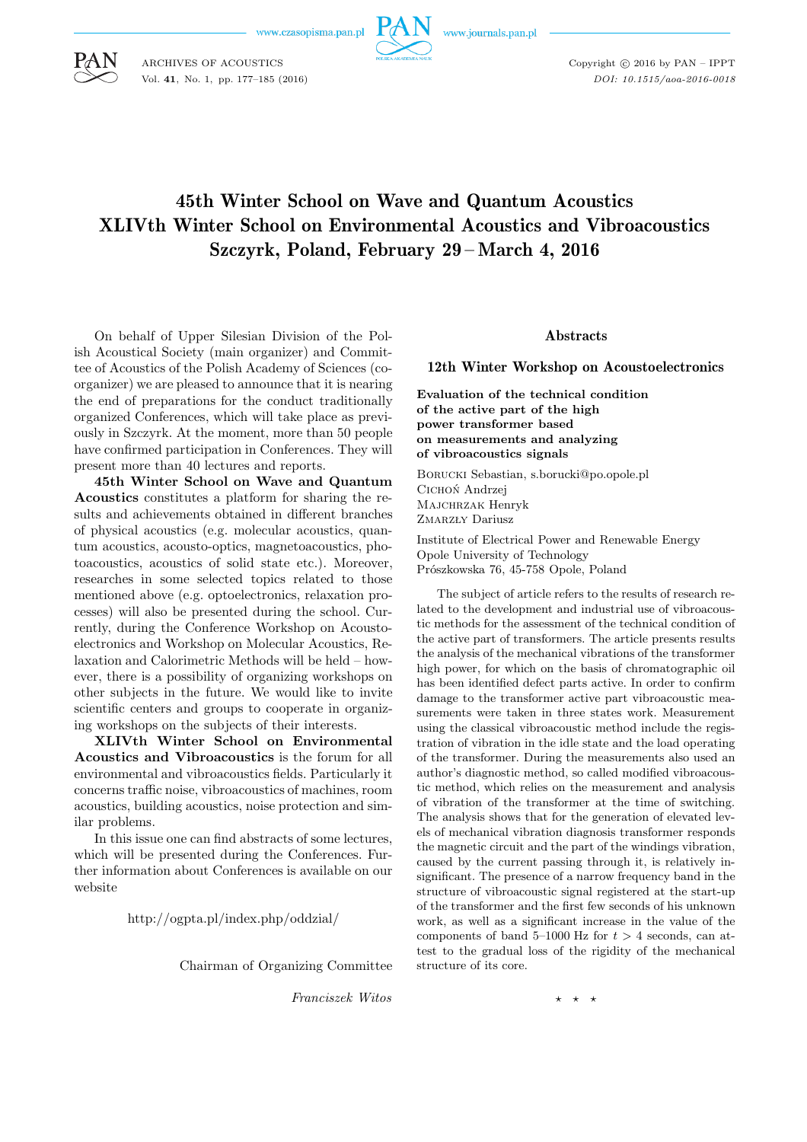www.czasopisma.pan.pl



www.journals.pan.pl



ARCHIVES OF ACOUSTICS Vol. **41**, No. 1, pp. 177–185 (2016) Copyright  $\odot$  2016 by PAN - IPPT *DOI: 10.1515/aoa-2016-0018*

# 45th Winter School on Wave and Quantum Acoustics XLIVth Winter School on Environmental Acoustics and Vibroacoustics Szczyrk, Poland, February 29 – March 4, 2016

On behalf of Upper Silesian Division of the Polish Acoustical Society (main organizer) and Committee of Acoustics of the Polish Academy of Sciences (coorganizer) we are pleased to announce that it is nearing the end of preparations for the conduct traditionally organized Conferences, which will take place as previously in Szczyrk. At the moment, more than 50 people have confirmed participation in Conferences. They will present more than 40 lectures and reports.

**45th Winter School on Wave and Quantum Acoustics** constitutes a platform for sharing the results and achievements obtained in different branches of physical acoustics (e.g. molecular acoustics, quantum acoustics, acousto-optics, magnetoacoustics, photoacoustics, acoustics of solid state etc.). Moreover, researches in some selected topics related to those mentioned above (e.g. optoelectronics, relaxation processes) will also be presented during the school. Currently, during the Conference Workshop on Acoustoelectronics and Workshop on Molecular Acoustics, Relaxation and Calorimetric Methods will be held – however, there is a possibility of organizing workshops on other subjects in the future. We would like to invite scientific centers and groups to cooperate in organizing workshops on the subjects of their interests.

**XLIVth Winter School on Environmental Acoustics and Vibroacoustics** is the forum for all environmental and vibroacoustics fields. Particularly it concerns traffic noise, vibroacoustics of machines, room acoustics, building acoustics, noise protection and similar problems.

In this issue one can find abstracts of some lectures, which will be presented during the Conferences. Further information about Conferences is available on our website

http://ogpta.pl/index.php/oddzial/

Chairman of Organizing Committee

*Franciszek Witos*

#### Abstracts

## 12th Winter Workshop on Acoustoelectronics

**Evaluation of the technical condition of the active part of the high power transformer based on measurements and analyzing of vibroacoustics signals**

Borucki Sebastian, s.borucki@po.opole.pl Cichoń Andrzej Majchrzak Henryk ZMARZŁY Dariusz

Institute of Electrical Power and Renewable Energy Opole University of Technology Prószkowska 76, 45-758 Opole, Poland

The subject of article refers to the results of research related to the development and industrial use of vibroacoustic methods for the assessment of the technical condition of the active part of transformers. The article presents results the analysis of the mechanical vibrations of the transformer high power, for which on the basis of chromatographic oil has been identified defect parts active. In order to confirm damage to the transformer active part vibroacoustic measurements were taken in three states work. Measurement using the classical vibroacoustic method include the registration of vibration in the idle state and the load operating of the transformer. During the measurements also used an author's diagnostic method, so called modified vibroacoustic method, which relies on the measurement and analysis of vibration of the transformer at the time of switching. The analysis shows that for the generation of elevated levels of mechanical vibration diagnosis transformer responds the magnetic circuit and the part of the windings vibration, caused by the current passing through it, is relatively insignificant. The presence of a narrow frequency band in the structure of vibroacoustic signal registered at the start-up of the transformer and the first few seconds of his unknown work, as well as a significant increase in the value of the components of band 5–1000 Hz for  $t > 4$  seconds, can attest to the gradual loss of the rigidity of the mechanical structure of its core.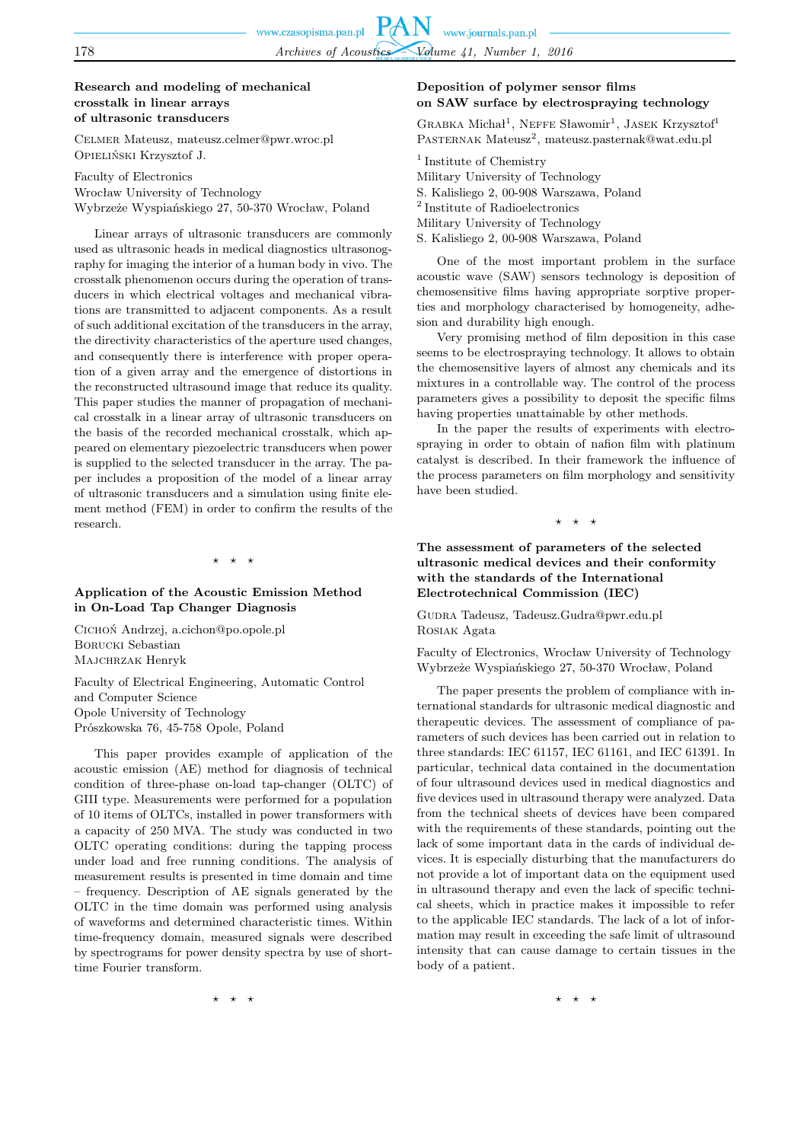## **Research and modeling of mechanical crosstalk in linear arrays of ultrasonic transducers**

Celmer Mateusz, mateusz.celmer@pwr.wroc.pl Opieliński Krzysztof J.

Faculty of Electronics Wrocław University of Technology Wybrzeże Wyspiańskiego 27, 50-370 Wrocław, Poland

Linear arrays of ultrasonic transducers are commonly used as ultrasonic heads in medical diagnostics ultrasonography for imaging the interior of a human body in vivo. The crosstalk phenomenon occurs during the operation of transducers in which electrical voltages and mechanical vibrations are transmitted to adjacent components. As a result of such additional excitation of the transducers in the array, the directivity characteristics of the aperture used changes, and consequently there is interference with proper operation of a given array and the emergence of distortions in the reconstructed ultrasound image that reduce its quality. This paper studies the manner of propagation of mechanical crosstalk in a linear array of ultrasonic transducers on the basis of the recorded mechanical crosstalk, which appeared on elementary piezoelectric transducers when power is supplied to the selected transducer in the array. The paper includes a proposition of the model of a linear array of ultrasonic transducers and a simulation using finite element method (FEM) in order to confirm the results of the research.

 $\star$   $\star$ 

## **Application of the Acoustic Emission Method in On-Load Tap Changer Diagnosis**

Cichoń Andrzej, a.cichon@po.opole.pl Borucki Sebastian Majchrzak Henryk

Faculty of Electrical Engineering, Automatic Control and Computer Science Opole University of Technology Prószkowska 76, 45-758 Opole, Poland

This paper provides example of application of the acoustic emission (AE) method for diagnosis of technical condition of three-phase on-load tap-changer (OLTC) of GIII type. Measurements were performed for a population of 10 items of OLTCs, installed in power transformers with a capacity of 250 MVA. The study was conducted in two OLTC operating conditions: during the tapping process under load and free running conditions. The analysis of measurement results is presented in time domain and time – frequency. Description of AE signals generated by the OLTC in the time domain was performed using analysis of waveforms and determined characteristic times. Within time-frequency domain, measured signals were described by spectrograms for power density spectra by use of shorttime Fourier transform.

**Deposition of polymer sensor films on SAW surface by electrospraying technology**

GRABKA Michał<sup>1</sup>, NEFFE Sławomir<sup>1</sup>, JASEK Krzysztof<sup>1</sup> PASTERNAK Mateusz<sup>2</sup>, mateusz.pasternak@wat.edu.pl

<sup>1</sup> Institute of Chemistry Military University of Technology S. Kalisliego 2, 00-908 Warszawa, Poland 2 Institute of Radioelectronics Military University of Technology S. Kalisliego 2, 00-908 Warszawa, Poland

One of the most important problem in the surface acoustic wave (SAW) sensors technology is deposition of chemosensitive films having appropriate sorptive properties and morphology characterised by homogeneity, adhesion and durability high enough.

Very promising method of film deposition in this case seems to be electrospraying technology. It allows to obtain the chemosensitive layers of almost any chemicals and its mixtures in a controllable way. The control of the process parameters gives a possibility to deposit the specific films having properties unattainable by other methods.

In the paper the results of experiments with electrospraying in order to obtain of nafion film with platinum catalyst is described. In their framework the influence of the process parameters on film morphology and sensitivity have been studied.

 $\star$ 

**The assessment of parameters of the selected ultrasonic medical devices and their conformity with the standards of the International Electrotechnical Commission (IEC)**

Gudra Tadeusz, Tadeusz.Gudra@pwr.edu.pl Rosiak Agata

Faculty of Electronics, Wrocław University of Technology Wybrzeże Wyspiańskiego 27, 50-370 Wrocław, Poland

The paper presents the problem of compliance with international standards for ultrasonic medical diagnostic and therapeutic devices. The assessment of compliance of parameters of such devices has been carried out in relation to three standards: IEC 61157, IEC 61161, and IEC 61391. In particular, technical data contained in the documentation of four ultrasound devices used in medical diagnostics and five devices used in ultrasound therapy were analyzed. Data from the technical sheets of devices have been compared with the requirements of these standards, pointing out the lack of some important data in the cards of individual devices. It is especially disturbing that the manufacturers do not provide a lot of important data on the equipment used in ultrasound therapy and even the lack of specific technical sheets, which in practice makes it impossible to refer to the applicable IEC standards. The lack of a lot of information may result in exceeding the safe limit of ultrasound intensity that can cause damage to certain tissues in the body of a patient.

⋆ ⋆ ⋆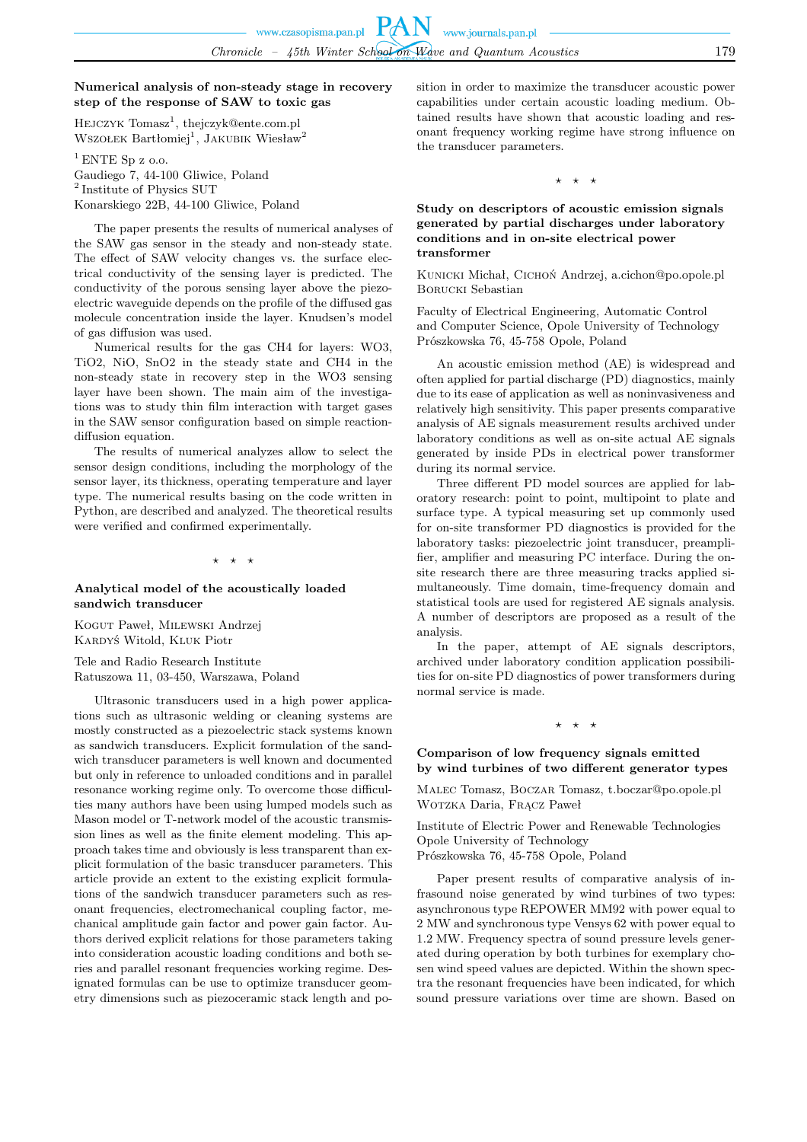## **Numerical analysis of non-steady stage in recovery step of the response of SAW to toxic gas**

HEJCZYK Tomasz<sup>1</sup>, thejczyk@ente.com.pl WSZOŁEK Bartłomiej<sup>1</sup>, JAKUBIK Wiesław<sup>2</sup>

 $1$  ENTE Sp z o.o. Gaudiego 7, 44-100 Gliwice, Poland <sup>2</sup> Institute of Physics SUT Konarskiego 22B, 44-100 Gliwice, Poland

The paper presents the results of numerical analyses of the SAW gas sensor in the steady and non-steady state. The effect of SAW velocity changes vs. the surface electrical conductivity of the sensing layer is predicted. The conductivity of the porous sensing layer above the piezoelectric waveguide depends on the profile of the diffused gas molecule concentration inside the layer. Knudsen's model of gas diffusion was used.

Numerical results for the gas CH4 for layers: WO3, TiO2, NiO, SnO2 in the steady state and CH4 in the non-steady state in recovery step in the WO3 sensing layer have been shown. The main aim of the investigations was to study thin film interaction with target gases in the SAW sensor configuration based on simple reactiondiffusion equation.

The results of numerical analyzes allow to select the sensor design conditions, including the morphology of the sensor layer, its thickness, operating temperature and layer type. The numerical results basing on the code written in Python, are described and analyzed. The theoretical results were verified and confirmed experimentally.

 $\star$   $\star$ 

## **Analytical model of the acoustically loaded sandwich transducer**

Kogut Paweł, Milewski Andrzej Kardyś Witold, Kluk Piotr

Tele and Radio Research Institute Ratuszowa 11, 03-450, Warszawa, Poland

Ultrasonic transducers used in a high power applications such as ultrasonic welding or cleaning systems are mostly constructed as a piezoelectric stack systems known as sandwich transducers. Explicit formulation of the sandwich transducer parameters is well known and documented but only in reference to unloaded conditions and in parallel resonance working regime only. To overcome those difficulties many authors have been using lumped models such as Mason model or T-network model of the acoustic transmission lines as well as the finite element modeling. This approach takes time and obviously is less transparent than explicit formulation of the basic transducer parameters. This article provide an extent to the existing explicit formulations of the sandwich transducer parameters such as resonant frequencies, electromechanical coupling factor, mechanical amplitude gain factor and power gain factor. Authors derived explicit relations for those parameters taking into consideration acoustic loading conditions and both series and parallel resonant frequencies working regime. Designated formulas can be use to optimize transducer geometry dimensions such as piezoceramic stack length and position in order to maximize the transducer acoustic power capabilities under certain acoustic loading medium. Obtained results have shown that acoustic loading and resonant frequency working regime have strong influence on the transducer parameters.

 $\star$   $\star$ 

## **Study on descriptors of acoustic emission signals generated by partial discharges under laboratory conditions and in on-site electrical power transformer**

KUNICKI Michał, CICHOŃ Andrzej, a.cichon@po.opole.pl Borucki Sebastian

Faculty of Electrical Engineering, Automatic Control and Computer Science, Opole University of Technology Prószkowska 76, 45-758 Opole, Poland

An acoustic emission method (AE) is widespread and often applied for partial discharge (PD) diagnostics, mainly due to its ease of application as well as noninvasiveness and relatively high sensitivity. This paper presents comparative analysis of AE signals measurement results archived under laboratory conditions as well as on-site actual AE signals generated by inside PDs in electrical power transformer during its normal service.

Three different PD model sources are applied for laboratory research: point to point, multipoint to plate and surface type. A typical measuring set up commonly used for on-site transformer PD diagnostics is provided for the laboratory tasks: piezoelectric joint transducer, preamplifier, amplifier and measuring PC interface. During the onsite research there are three measuring tracks applied simultaneously. Time domain, time-frequency domain and statistical tools are used for registered AE signals analysis. A number of descriptors are proposed as a result of the analysis.

In the paper, attempt of AE signals descriptors, archived under laboratory condition application possibilities for on-site PD diagnostics of power transformers during normal service is made.

 $\star$ 

## **Comparison of low frequency signals emitted by wind turbines of two different generator types**

Malec Tomasz, Boczar Tomasz, t.boczar@po.opole.pl Wotzka Daria, Frącz Paweł

Institute of Electric Power and Renewable Technologies Opole University of Technology Prószkowska 76, 45-758 Opole, Poland

Paper present results of comparative analysis of infrasound noise generated by wind turbines of two types: asynchronous type REPOWER MM92 with power equal to 2 MW and synchronous type Vensys 62 with power equal to 1.2 MW. Frequency spectra of sound pressure levels generated during operation by both turbines for exemplary chosen wind speed values are depicted. Within the shown spectra the resonant frequencies have been indicated, for which sound pressure variations over time are shown. Based on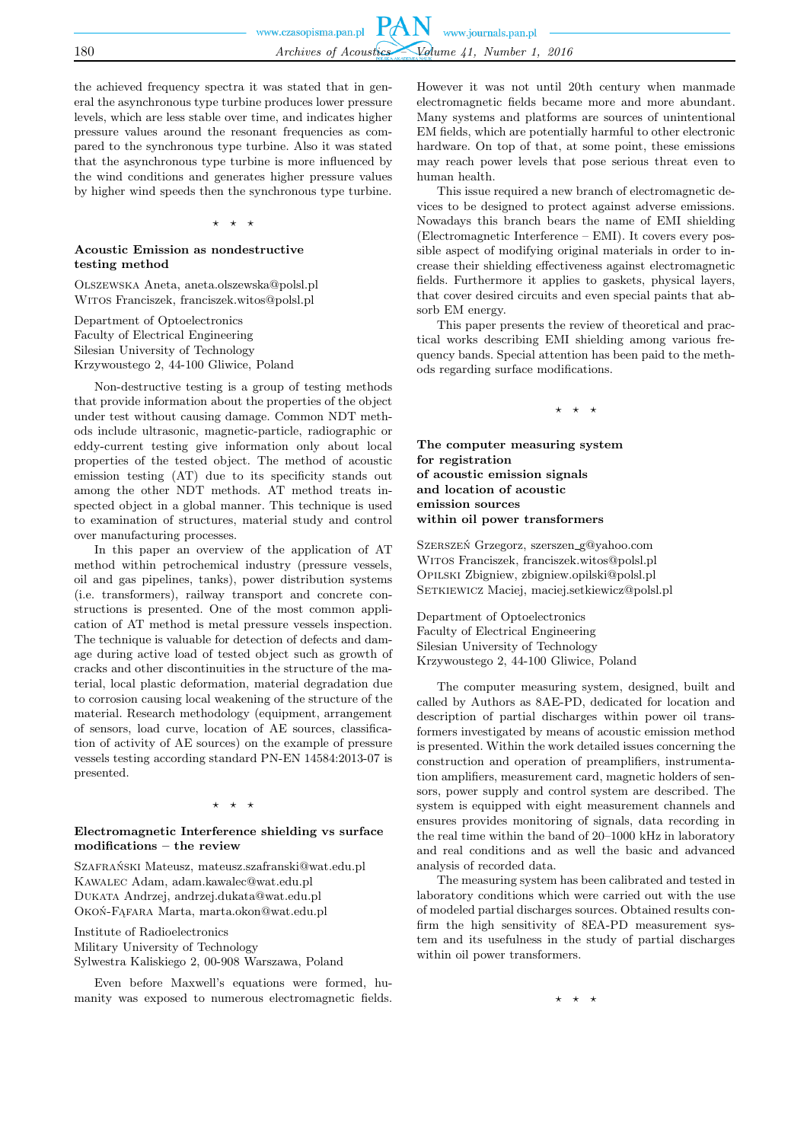the achieved frequency spectra it was stated that in general the asynchronous type turbine produces lower pressure levels, which are less stable over time, and indicates higher pressure values around the resonant frequencies as compared to the synchronous type turbine. Also it was stated that the asynchronous type turbine is more influenced by the wind conditions and generates higher pressure values by higher wind speeds then the synchronous type turbine.

#### ⋆ ⋆ ⋆

## **Acoustic Emission as nondestructive testing method**

Olszewska Aneta, aneta.olszewska@polsl.pl Witos Franciszek, franciszek.witos@polsl.pl

Department of Optoelectronics Faculty of Electrical Engineering Silesian University of Technology Krzywoustego 2, 44-100 Gliwice, Poland

Non-destructive testing is a group of testing methods that provide information about the properties of the object under test without causing damage. Common NDT methods include ultrasonic, magnetic-particle, radiographic or eddy-current testing give information only about local properties of the tested object. The method of acoustic emission testing (AT) due to its specificity stands out among the other NDT methods. AT method treats inspected object in a global manner. This technique is used to examination of structures, material study and control over manufacturing processes.

In this paper an overview of the application of AT method within petrochemical industry (pressure vessels, oil and gas pipelines, tanks), power distribution systems (i.e. transformers), railway transport and concrete constructions is presented. One of the most common application of AT method is metal pressure vessels inspection. The technique is valuable for detection of defects and damage during active load of tested object such as growth of cracks and other discontinuities in the structure of the material, local plastic deformation, material degradation due to corrosion causing local weakening of the structure of the material. Research methodology (equipment, arrangement of sensors, load curve, location of AE sources, classification of activity of AE sources) on the example of pressure vessels testing according standard PN-EN 14584:2013-07 is presented.

#### $\rightarrow$

## **Electromagnetic Interference shielding vs surface modifications – the review**

Szafrański Mateusz, mateusz.szafranski@wat.edu.pl Kawalec Adam, adam.kawalec@wat.edu.pl Dukata Andrzej, andrzej.dukata@wat.edu.pl Okoń-Fąfara Marta, marta.okon@wat.edu.pl

Institute of Radioelectronics Military University of Technology Sylwestra Kaliskiego 2, 00-908 Warszawa, Poland

Even before Maxwell's equations were formed, humanity was exposed to numerous electromagnetic fields.

However it was not until 20th century when manmade electromagnetic fields became more and more abundant. Many systems and platforms are sources of unintentional EM fields, which are potentially harmful to other electronic hardware. On top of that, at some point, these emissions may reach power levels that pose serious threat even to human health.

This issue required a new branch of electromagnetic devices to be designed to protect against adverse emissions. Nowadays this branch bears the name of EMI shielding (Electromagnetic Interference – EMI). It covers every possible aspect of modifying original materials in order to increase their shielding effectiveness against electromagnetic fields. Furthermore it applies to gaskets, physical layers, that cover desired circuits and even special paints that absorb EM energy.

This paper presents the review of theoretical and practical works describing EMI shielding among various frequency bands. Special attention has been paid to the methods regarding surface modifications.

⋆ ⋆ ⋆

**The computer measuring system for registration of acoustic emission signals and location of acoustic emission sources within oil power transformers**

Szerszeń Grzegorz, szerszen g@yahoo.com Witos Franciszek, franciszek.witos@polsl.pl Opilski Zbigniew, zbigniew.opilski@polsl.pl SETKIEWICZ Maciej, maciej.setkiewicz@polsl.pl

Department of Optoelectronics Faculty of Electrical Engineering Silesian University of Technology Krzywoustego 2, 44-100 Gliwice, Poland

The computer measuring system, designed, built and called by Authors as 8AE-PD, dedicated for location and description of partial discharges within power oil transformers investigated by means of acoustic emission method is presented. Within the work detailed issues concerning the construction and operation of preamplifiers, instrumentation amplifiers, measurement card, magnetic holders of sensors, power supply and control system are described. The system is equipped with eight measurement channels and ensures provides monitoring of signals, data recording in the real time within the band of 20–1000 kHz in laboratory and real conditions and as well the basic and advanced analysis of recorded data.

The measuring system has been calibrated and tested in laboratory conditions which were carried out with the use of modeled partial discharges sources. Obtained results confirm the high sensitivity of 8EA-PD measurement system and its usefulness in the study of partial discharges within oil power transformers.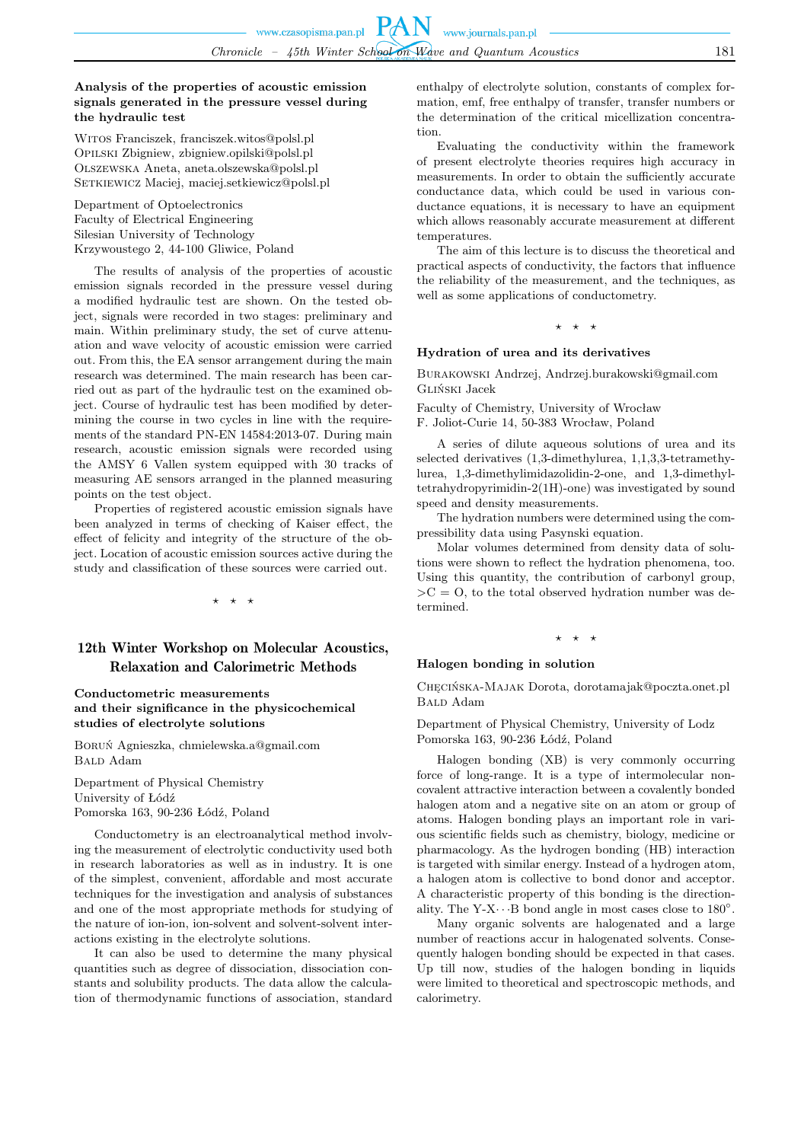## **Analysis of the properties of acoustic emission signals generated in the pressure vessel during the hydraulic test**

Witos Franciszek, franciszek.witos@polsl.pl Opilski Zbigniew, zbigniew.opilski@polsl.pl Olszewska Aneta, aneta.olszewska@polsl.pl SETKIEWICZ Maciej, maciej.setkiewicz@polsl.pl

Department of Optoelectronics Faculty of Electrical Engineering Silesian University of Technology Krzywoustego 2, 44-100 Gliwice, Poland

The results of analysis of the properties of acoustic emission signals recorded in the pressure vessel during a modified hydraulic test are shown. On the tested object, signals were recorded in two stages: preliminary and main. Within preliminary study, the set of curve attenuation and wave velocity of acoustic emission were carried out. From this, the EA sensor arrangement during the main research was determined. The main research has been carried out as part of the hydraulic test on the examined object. Course of hydraulic test has been modified by determining the course in two cycles in line with the requirements of the standard PN-EN 14584:2013-07. During main research, acoustic emission signals were recorded using the AMSY 6 Vallen system equipped with 30 tracks of measuring AE sensors arranged in the planned measuring points on the test object.

Properties of registered acoustic emission signals have been analyzed in terms of checking of Kaiser effect, the effect of felicity and integrity of the structure of the object. Location of acoustic emission sources active during the study and classification of these sources were carried out.

⋆ ⋆ ⋆

# 12th Winter Workshop on Molecular Acoustics, Relaxation and Calorimetric Methods

**Conductometric measurements and their significance in the physicochemical studies of electrolyte solutions**

Boruń Agnieszka, chmielewska.a@gmail.com B<sub>ALD</sub> Adam

Department of Physical Chemistry University of Łódź Pomorska 163, 90-236 Łódź, Poland

Conductometry is an electroanalytical method involving the measurement of electrolytic conductivity used both in research laboratories as well as in industry. It is one of the simplest, convenient, affordable and most accurate techniques for the investigation and analysis of substances and one of the most appropriate methods for studying of the nature of ion-ion, ion-solvent and solvent-solvent interactions existing in the electrolyte solutions.

It can also be used to determine the many physical quantities such as degree of dissociation, dissociation constants and solubility products. The data allow the calculation of thermodynamic functions of association, standard enthalpy of electrolyte solution, constants of complex formation, emf, free enthalpy of transfer, transfer numbers or the determination of the critical micellization concentration.

Evaluating the conductivity within the framework of present electrolyte theories requires high accuracy in measurements. In order to obtain the sufficiently accurate conductance data, which could be used in various conductance equations, it is necessary to have an equipment which allows reasonably accurate measurement at different temperatures.

The aim of this lecture is to discuss the theoretical and practical aspects of conductivity, the factors that influence the reliability of the measurement, and the techniques, as well as some applications of conductometry.

## $\star$   $\star$   $\star$

#### **Hydration of urea and its derivatives**

Burakowski Andrzej, Andrzej.burakowski@gmail.com Gliński Jacek

Faculty of Chemistry, University of Wrocław

F. Joliot-Curie 14, 50-383 Wrocław, Poland

A series of dilute aqueous solutions of urea and its selected derivatives (1,3-dimethylurea, 1,1,3,3-tetramethylurea, 1,3-dimethylimidazolidin-2-one, and 1,3-dimethyltetrahydropyrimidin-2(1H)-one) was investigated by sound speed and density measurements.

The hydration numbers were determined using the compressibility data using Pasynski equation.

Molar volumes determined from density data of solutions were shown to reflect the hydration phenomena, too. Using this quantity, the contribution of carbonyl group,  $\geq C = 0$ , to the total observed hydration number was determined.

#### $\star$

#### **Halogen bonding in solution**

Chęcińska-Majak Dorota, dorotamajak@poczta.onet.pl Bald Adam

Department of Physical Chemistry, University of Lodz Pomorska 163, 90-236 Łódź, Poland

Halogen bonding (XB) is very commonly occurring force of long-range. It is a type of intermolecular noncovalent attractive interaction between a covalently bonded halogen atom and a negative site on an atom or group of atoms. Halogen bonding plays an important role in various scientific fields such as chemistry, biology, medicine or pharmacology. As the hydrogen bonding (HB) interaction is targeted with similar energy. Instead of a hydrogen atom, a halogen atom is collective to bond donor and acceptor. A characteristic property of this bonding is the directionality. The Y-X $\cdots$  B bond angle in most cases close to 180°.

Many organic solvents are halogenated and a large number of reactions accur in halogenated solvents. Consequently halogen bonding should be expected in that cases. Up till now, studies of the halogen bonding in liquids were limited to theoretical and spectroscopic methods, and calorimetry.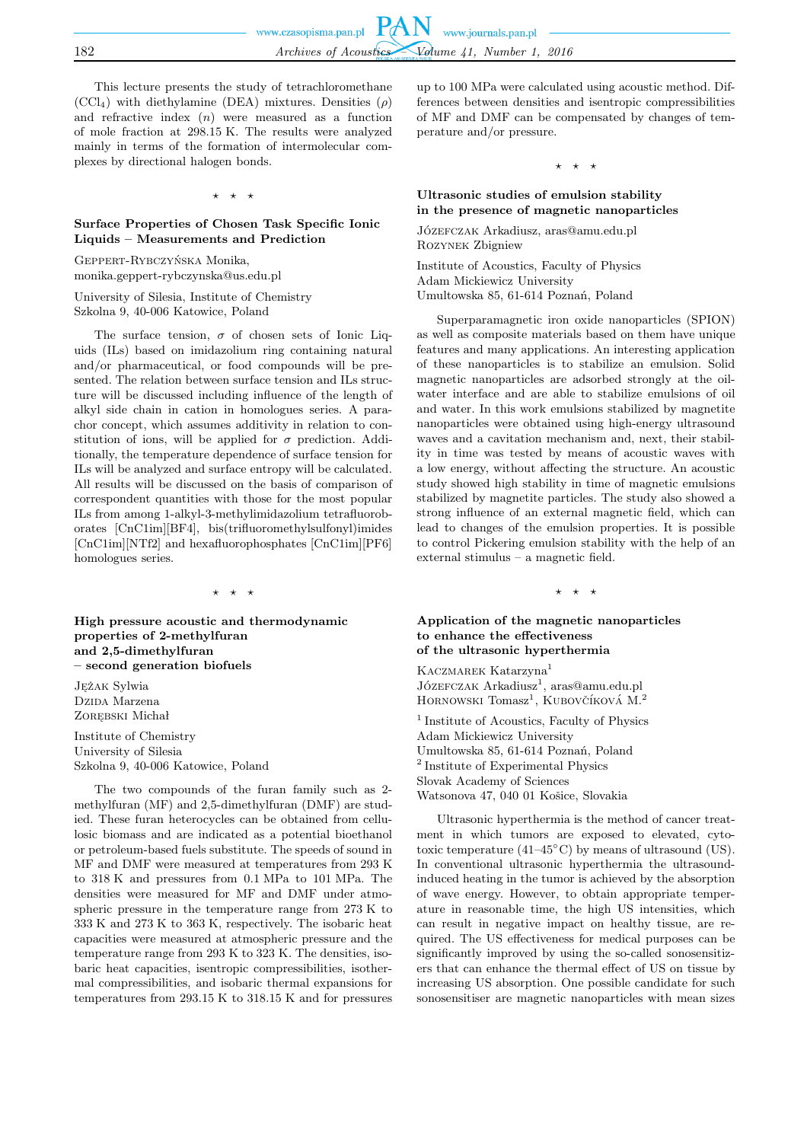This lecture presents the study of tetrachloromethane  $(CCl<sub>4</sub>)$  with diethylamine (DEA) mixtures. Densities  $(\rho)$ and refractive index  $(n)$  were measured as a function of mole fraction at 298.15 K. The results were analyzed mainly in terms of the formation of intermolecular complexes by directional halogen bonds.

 $\star$   $\star$ 

## **Surface Properties of Chosen Task Specific Ionic Liquids – Measurements and Prediction**

Geppert-Rybczyńska Monika, monika.geppert-rybczynska@us.edu.pl

University of Silesia, Institute of Chemistry Szkolna 9, 40-006 Katowice, Poland

The surface tension,  $\sigma$  of chosen sets of Ionic Liquids (ILs) based on imidazolium ring containing natural and/or pharmaceutical, or food compounds will be presented. The relation between surface tension and ILs structure will be discussed including influence of the length of alkyl side chain in cation in homologues series. A parachor concept, which assumes additivity in relation to constitution of ions, will be applied for  $\sigma$  prediction. Additionally, the temperature dependence of surface tension for ILs will be analyzed and surface entropy will be calculated. All results will be discussed on the basis of comparison of correspondent quantities with those for the most popular ILs from among 1-alkyl-3-methylimidazolium tetrafluoroborates [CnC1im][BF4], bis(trifluoromethylsulfonyl)imides [CnC1im][NTf2] and hexafluorophosphates [CnC1im][PF6] homologues series.

⋆ ⋆ ⋆

**High pressure acoustic and thermodynamic properties of 2-methylfuran and 2,5-dimethylfuran – second generation biofuels**

Jężak Sylwia Dzipa Marzena Zorębski Michał

Institute of Chemistry University of Silesia Szkolna 9, 40-006 Katowice, Poland

The two compounds of the furan family such as 2 methylfuran (MF) and 2,5-dimethylfuran (DMF) are studied. These furan heterocycles can be obtained from cellulosic biomass and are indicated as a potential bioethanol or petroleum-based fuels substitute. The speeds of sound in MF and DMF were measured at temperatures from 293 K to 318 K and pressures from 0.1 MPa to 101 MPa. The densities were measured for MF and DMF under atmospheric pressure in the temperature range from 273 K to 333 K and 273 K to 363 K, respectively. The isobaric heat capacities were measured at atmospheric pressure and the temperature range from 293 K to 323 K. The densities, isobaric heat capacities, isentropic compressibilities, isothermal compressibilities, and isobaric thermal expansions for temperatures from 293.15 K to 318.15 K and for pressures up to 100 MPa were calculated using acoustic method. Differences between densities and isentropic compressibilities of MF and DMF can be compensated by changes of temperature and/or pressure.

⋆ ⋆ ⋆

## **Ultrasonic studies of emulsion stability in the presence of magnetic nanoparticles**

Józefczak Arkadiusz, aras@amu.edu.pl Rozynek Zbigniew

Institute of Acoustics, Faculty of Physics Adam Mickiewicz University Umultowska 85, 61-614 Poznań, Poland

Superparamagnetic iron oxide nanoparticles (SPION) as well as composite materials based on them have unique features and many applications. An interesting application of these nanoparticles is to stabilize an emulsion. Solid magnetic nanoparticles are adsorbed strongly at the oilwater interface and are able to stabilize emulsions of oil and water. In this work emulsions stabilized by magnetite nanoparticles were obtained using high-energy ultrasound waves and a cavitation mechanism and, next, their stability in time was tested by means of acoustic waves with a low energy, without affecting the structure. An acoustic study showed high stability in time of magnetic emulsions stabilized by magnetite particles. The study also showed a strong influence of an external magnetic field, which can lead to changes of the emulsion properties. It is possible to control Pickering emulsion stability with the help of an external stimulus – a magnetic field.

⋆ ⋆ ⋆

## **Application of the magnetic nanoparticles to enhance the effectiveness of the ultrasonic hyperthermia**

KACZMAREK Katarzyna<sup>1</sup> Józ $EFCZAK$  Arkadiusz<sup>1</sup>, aras@amu.edu.pl HORNOWSKI Tomasz<sup>1</sup>, KUBOVČÍKOVÁ M.<sup>2</sup>

<sup>1</sup> Institute of Acoustics, Faculty of Physics Adam Mickiewicz University Umultowska 85, 61-614 Poznań, Poland 2 Institute of Experimental Physics Slovak Academy of Sciences Watsonova 47, 040 01 Košice, Slovakia

Ultrasonic hyperthermia is the method of cancer treatment in which tumors are exposed to elevated, cytotoxic temperature  $(41-45^{\circ}C)$  by means of ultrasound (US). In conventional ultrasonic hyperthermia the ultrasoundinduced heating in the tumor is achieved by the absorption of wave energy. However, to obtain appropriate temperature in reasonable time, the high US intensities, which can result in negative impact on healthy tissue, are required. The US effectiveness for medical purposes can be significantly improved by using the so-called sonosensitizers that can enhance the thermal effect of US on tissue by increasing US absorption. One possible candidate for such sonosensitiser are magnetic nanoparticles with mean sizes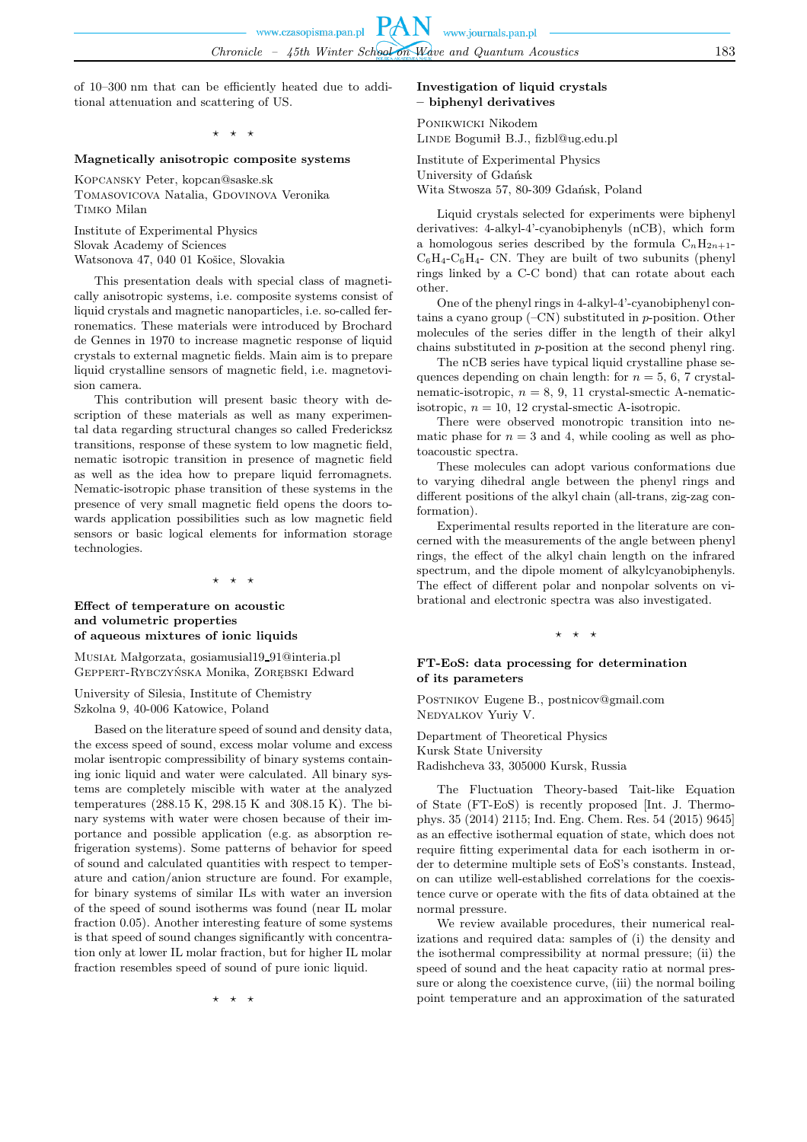of 10–300 nm that can be efficiently heated due to additional attenuation and scattering of US.

 $\star$   $\star$ 

#### **Magnetically anisotropic composite systems**

Kopcansky Peter, kopcan@saske.sk TOMASOVICOVA Natalia, GDOVINOVA Veronika Timko Milan

Institute of Experimental Physics Slovak Academy of Sciences Watsonova 47, 040 01 Košice, Slovakia

This presentation deals with special class of magnetically anisotropic systems, i.e. composite systems consist of liquid crystals and magnetic nanoparticles, i.e. so-called ferronematics. These materials were introduced by Brochard de Gennes in 1970 to increase magnetic response of liquid crystals to external magnetic fields. Main aim is to prepare liquid crystalline sensors of magnetic field, i.e. magnetovision camera.

This contribution will present basic theory with description of these materials as well as many experimental data regarding structural changes so called Fredericksz transitions, response of these system to low magnetic field, nematic isotropic transition in presence of magnetic field as well as the idea how to prepare liquid ferromagnets. Nematic-isotropic phase transition of these systems in the presence of very small magnetic field opens the doors towards application possibilities such as low magnetic field sensors or basic logical elements for information storage technologies.

 $\star$   $\star$ 

## **Effect of temperature on acoustic and volumetric properties of aqueous mixtures of ionic liquids**

Musiał Małgorzata, gosiamusial19 91@interia.pl Geppert-Rybczyńska Monika, Zorębski Edward

University of Silesia, Institute of Chemistry Szkolna 9, 40-006 Katowice, Poland

Based on the literature speed of sound and density data, the excess speed of sound, excess molar volume and excess molar isentropic compressibility of binary systems containing ionic liquid and water were calculated. All binary systems are completely miscible with water at the analyzed temperatures (288.15 K, 298.15 K and 308.15 K). The binary systems with water were chosen because of their importance and possible application (e.g. as absorption refrigeration systems). Some patterns of behavior for speed of sound and calculated quantities with respect to temperature and cation/anion structure are found. For example, for binary systems of similar ILs with water an inversion of the speed of sound isotherms was found (near IL molar fraction 0.05). Another interesting feature of some systems is that speed of sound changes significantly with concentration only at lower IL molar fraction, but for higher IL molar fraction resembles speed of sound of pure ionic liquid.

⋆ ⋆ ⋆

## **Investigation of liquid crystals – biphenyl derivatives**

Ponikwicki Nikodem Linde Bogumił B.J., fizbl@ug.edu.pl

Institute of Experimental Physics University of Gdańsk Wita Stwosza 57, 80-309 Gdańsk, Poland

Liquid crystals selected for experiments were biphenyl derivatives: 4-alkyl-4'-cyanobiphenyls (nCB), which form a homologous series described by the formula  $C_nH_{2n+1}$ - $C_6H_4-C_6H_4$ - CN. They are built of two subunits (phenyl rings linked by a C-C bond) that can rotate about each other.

One of the phenyl rings in 4-alkyl-4'-cyanobiphenyl contains a cyano group  $(-CN)$  substituted in *p*-position. Other molecules of the series differ in the length of their alkyl chains substituted in p-position at the second phenyl ring.

The nCB series have typical liquid crystalline phase sequences depending on chain length: for  $n = 5, 6, 7$  crystalnematic-isotropic,  $n = 8, 9, 11$  crystal-smectic A-nematicisotropic,  $n = 10$ , 12 crystal-smectic A-isotropic.

There were observed monotropic transition into nematic phase for  $n = 3$  and 4, while cooling as well as photoacoustic spectra.

These molecules can adopt various conformations due to varying dihedral angle between the phenyl rings and different positions of the alkyl chain (all-trans, zig-zag conformation).

Experimental results reported in the literature are concerned with the measurements of the angle between phenyl rings, the effect of the alkyl chain length on the infrared spectrum, and the dipole moment of alkylcyanobiphenyls. The effect of different polar and nonpolar solvents on vibrational and electronic spectra was also investigated.

#### $\star$   $\star$

## **FT-EoS: data processing for determination of its parameters**

Postnikov Eugene B., postnicov@gmail.com NEDYALKOV Yuriy V.

Department of Theoretical Physics Kursk State University Radishcheva 33, 305000 Kursk, Russia

The Fluctuation Theory-based Tait-like Equation of State (FT-EoS) is recently proposed [Int. J. Thermophys. 35 (2014) 2115; Ind. Eng. Chem. Res. 54 (2015) 9645] as an effective isothermal equation of state, which does not require fitting experimental data for each isotherm in order to determine multiple sets of EoS's constants. Instead, on can utilize well-established correlations for the coexistence curve or operate with the fits of data obtained at the normal pressure.

We review available procedures, their numerical realizations and required data: samples of (i) the density and the isothermal compressibility at normal pressure; (ii) the speed of sound and the heat capacity ratio at normal pressure or along the coexistence curve, (iii) the normal boiling point temperature and an approximation of the saturated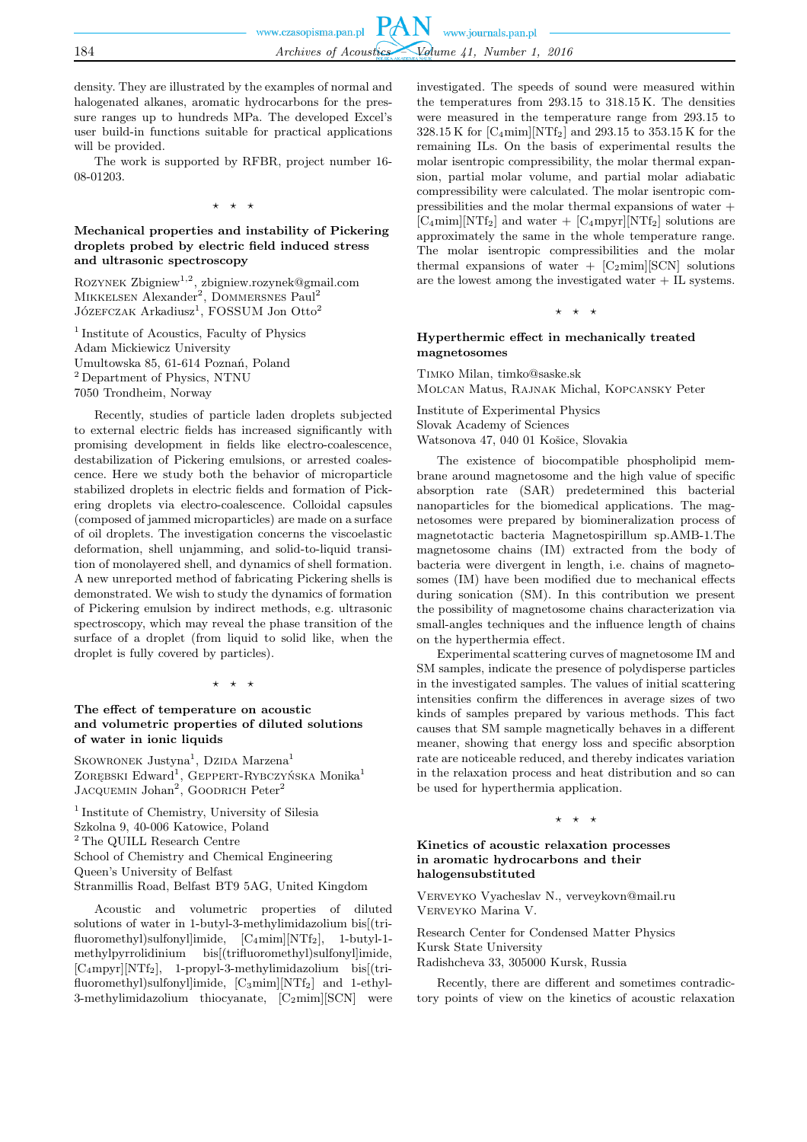density. They are illustrated by the examples of normal and halogenated alkanes, aromatic hydrocarbons for the pressure ranges up to hundreds MPa. The developed Excel's user build-in functions suitable for practical applications will be provided.

The work is supported by RFBR, project number 16- 08-01203.

⋆ ⋆ ⋆

## **Mechanical properties and instability of Pickering droplets probed by electric field induced stress and ultrasonic spectroscopy**

ROZYNEK Zbigniew<sup>1,2</sup>, zbigniew.rozynek@gmail.com MIKKELSEN Alexander<sup>2</sup>, DOMMERSNES Paul<sup>2</sup>  $J$ Ózefczak Arkadiusz<sup>1</sup>, FOSSUM Jon Otto<sup>2</sup>

<sup>1</sup> Institute of Acoustics, Faculty of Physics Adam Mickiewicz University Umultowska 85, 61-614 Poznań, Poland <sup>2</sup> Department of Physics, NTNU 7050 Trondheim, Norway

Recently, studies of particle laden droplets subjected to external electric fields has increased significantly with promising development in fields like electro-coalescence, destabilization of Pickering emulsions, or arrested coalescence. Here we study both the behavior of microparticle stabilized droplets in electric fields and formation of Pickering droplets via electro-coalescence. Colloidal capsules (composed of jammed microparticles) are made on a surface of oil droplets. The investigation concerns the viscoelastic deformation, shell unjamming, and solid-to-liquid transition of monolayered shell, and dynamics of shell formation. A new unreported method of fabricating Pickering shells is demonstrated. We wish to study the dynamics of formation of Pickering emulsion by indirect methods, e.g. ultrasonic spectroscopy, which may reveal the phase transition of the surface of a droplet (from liquid to solid like, when the droplet is fully covered by particles).

⋆ ⋆ ⋆

## **The effect of temperature on acoustic and volumetric properties of diluted solutions of water in ionic liquids**

SKOWRONEK  $\text{Justyna}^1$ , Dzida Marzena<sup>1</sup> ZORĘBSKI Edward<sup>1</sup>, GEPPERT-RYBCZYŃSKA Monika<sup>1</sup> JACQUEMIN Johan<sup>2</sup>, GOODRICH Peter<sup>2</sup>

1 Institute of Chemistry, University of Silesia Szkolna 9, 40-006 Katowice, Poland <sup>2</sup> The QUILL Research Centre School of Chemistry and Chemical Engineering Queen's University of Belfast Stranmillis Road, Belfast BT9 5AG, United Kingdom

Acoustic and volumetric properties of diluted solutions of water in 1-butyl-3-methylimidazolium bis[(trifluoromethyl)sulfonyl]imide,  $[C_4 \text{min}][NTf_2]$ , 1-butyl-1methylpyrrolidinium bis[(trifluoromethyl)sulfonyl]imide, [C4mpyr][NTf2], 1-propyl-3-methylimidazolium bis[(trifluoromethyl)sulfonyl]imide, [C3mim][NTf2] and 1-ethyl-3-methylimidazolium thiocyanate,  $[C_2 \text{min}][\text{SCN}]$  were investigated. The speeds of sound were measured within the temperatures from 293.15 to 318.15 K. The densities were measured in the temperature range from 293.15 to 328.15 K for  $\text{[C}_4 \text{min}\text{[NTf}_2]$  and 293.15 to 353.15 K for the remaining ILs. On the basis of experimental results the molar isentropic compressibility, the molar thermal expansion, partial molar volume, and partial molar adiabatic compressibility were calculated. The molar isentropic compressibilities and the molar thermal expansions of water +  $[C_4 \text{min}][\text{NTf}_2]$  and water  $+ [C_4 \text{mpyr}][\text{NTf}_2]$  solutions are approximately the same in the whole temperature range. The molar isentropic compressibilities and the molar thermal expansions of water  $+$  [C<sub>2</sub>mim][SCN] solutions are the lowest among the investigated water + IL systems.

⋆ ⋆ ⋆

## **Hyperthermic effect in mechanically treated magnetosomes**

Timko Milan, timko@saske.sk Molcan Matus, Rajnak Michal, Kopcansky Peter

Institute of Experimental Physics Slovak Academy of Sciences Watsonova 47, 040 01 Košice, Slovakia

The existence of biocompatible phospholipid membrane around magnetosome and the high value of specific absorption rate (SAR) predetermined this bacterial nanoparticles for the biomedical applications. The magnetosomes were prepared by biomineralization process of magnetotactic bacteria Magnetospirillum sp.AMB-1.The magnetosome chains (IM) extracted from the body of bacteria were divergent in length, i.e. chains of magnetosomes (IM) have been modified due to mechanical effects during sonication (SM). In this contribution we present the possibility of magnetosome chains characterization via small-angles techniques and the influence length of chains on the hyperthermia effect.

Experimental scattering curves of magnetosome IM and SM samples, indicate the presence of polydisperse particles in the investigated samples. The values of initial scattering intensities confirm the differences in average sizes of two kinds of samples prepared by various methods. This fact causes that SM sample magnetically behaves in a different meaner, showing that energy loss and specific absorption rate are noticeable reduced, and thereby indicates variation in the relaxation process and heat distribution and so can be used for hyperthermia application.

 $\star$   $\star$ 

## **Kinetics of acoustic relaxation processes in aromatic hydrocarbons and their halogensubstituted**

VERVEYKO Vyacheslav N., verveykovn@mail.ru Verveyko Marina V.

Research Center for Condensed Matter Physics Kursk State University Radishcheva 33, 305000 Kursk, Russia

Recently, there are different and sometimes contradictory points of view on the kinetics of acoustic relaxation